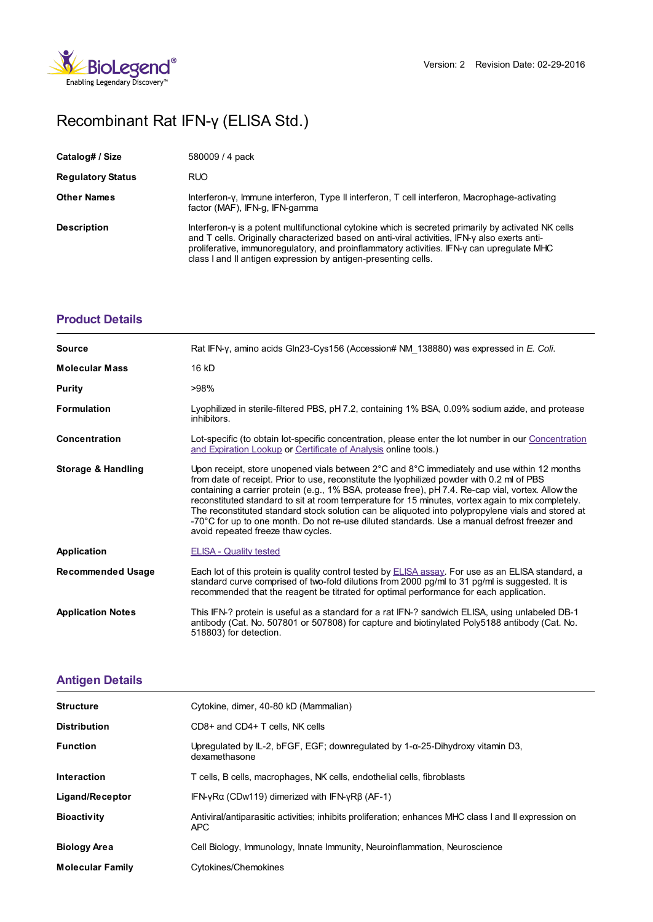

# Recombinant Rat IFN-γ (ELISA Std.)

| Catalog# / Size          | 580009 / 4 pack                                                                                                                                                                                                                                                                                                                                                     |
|--------------------------|---------------------------------------------------------------------------------------------------------------------------------------------------------------------------------------------------------------------------------------------------------------------------------------------------------------------------------------------------------------------|
| <b>Regulatory Status</b> | <b>RUO</b>                                                                                                                                                                                                                                                                                                                                                          |
| <b>Other Names</b>       | Interferon-γ, Immune interferon, Type II interferon, T cell interferon, Macrophage-activating<br>factor (MAF), IFN-g, IFN-gamma                                                                                                                                                                                                                                     |
| <b>Description</b>       | Interferon-y is a potent multifunctional cytokine which is secreted primarily by activated NK cells<br>and T cells. Originally characterized based on anti-viral activities. IFN-y also exerts anti-<br>proliferative, immunoregulatory, and proinflammatory activities. IFN-y can upregulate MHC<br>class I and II antigen expression by antigen-presenting cells. |

## **[Product](https://production-dynamicweb.biolegend.com/nl-nl/products/recombinant-rat-ifn-gamma-elisa-std-9313?pdf=true&displayInline=true&leftRightMargin=15&topBottomMargin=15&filename=Recombinant Rat IFN-%EF%BF%BD%EF%BF%BD (ELISA Std.).pdf#productDetails) Details**

| <b>Source</b>                 | Rat IFN-y, amino acids Gln23-Cys156 (Accession# NM 138880) was expressed in E. Coli.                                                                                                                                                                                                                                                                                                                                                                                                                                                                                                                                                            |
|-------------------------------|-------------------------------------------------------------------------------------------------------------------------------------------------------------------------------------------------------------------------------------------------------------------------------------------------------------------------------------------------------------------------------------------------------------------------------------------------------------------------------------------------------------------------------------------------------------------------------------------------------------------------------------------------|
| <b>Molecular Mass</b>         | 16 kD                                                                                                                                                                                                                                                                                                                                                                                                                                                                                                                                                                                                                                           |
| Purity                        | >98%                                                                                                                                                                                                                                                                                                                                                                                                                                                                                                                                                                                                                                            |
| <b>Formulation</b>            | Lyophilized in sterile-filtered PBS, pH 7.2, containing 1% BSA, 0.09% sodium azide, and protease<br>inhibitors.                                                                                                                                                                                                                                                                                                                                                                                                                                                                                                                                 |
| Concentration                 | Lot-specific (to obtain lot-specific concentration, please enter the lot number in our Concentration<br>and Expiration Lookup or Certificate of Analysis online tools.)                                                                                                                                                                                                                                                                                                                                                                                                                                                                         |
| <b>Storage &amp; Handling</b> | Upon receipt, store unopened vials between 2°C and 8°C immediately and use within 12 months<br>from date of receipt. Prior to use, reconstitute the lyophilized powder with 0.2 ml of PBS<br>containing a carrier protein (e.g., 1% BSA, protease free), pH 7.4. Re-cap vial, vortex. Allow the<br>reconstituted standard to sit at room temperature for 15 minutes, vortex again to mix completely.<br>The reconstituted standard stock solution can be aliquoted into polypropylene vials and stored at<br>-70°C for up to one month. Do not re-use diluted standards. Use a manual defrost freezer and<br>avoid repeated freeze thaw cycles. |
| Application                   | <b>ELISA - Quality tested</b>                                                                                                                                                                                                                                                                                                                                                                                                                                                                                                                                                                                                                   |
| <b>Recommended Usage</b>      | Each lot of this protein is quality control tested by ELISA assay. For use as an ELISA standard, a<br>standard curve comprised of two-fold dilutions from 2000 pg/ml to 31 pg/ml is suggested. It is<br>recommended that the reagent be titrated for optimal performance for each application.                                                                                                                                                                                                                                                                                                                                                  |
| <b>Application Notes</b>      | This IFN-? protein is useful as a standard for a rat IFN-? sandwich ELISA, using unlabeled DB-1<br>antibody (Cat. No. 507801 or 507808) for capture and biotinylated Poly5188 antibody (Cat. No.<br>518803) for detection.                                                                                                                                                                                                                                                                                                                                                                                                                      |

### **[Antigen](https://production-dynamicweb.biolegend.com/nl-nl/products/recombinant-rat-ifn-gamma-elisa-std-9313?pdf=true&displayInline=true&leftRightMargin=15&topBottomMargin=15&filename=Recombinant Rat IFN-%EF%BF%BD%EF%BF%BD (ELISA Std.).pdf#antigenDetails) Details**

| <b>Structure</b>        | Cytokine, dimer, 40-80 kD (Mammalian)                                                                        |
|-------------------------|--------------------------------------------------------------------------------------------------------------|
| <b>Distribution</b>     | $CD8+$ and $CD4+$ T cells. NK cells                                                                          |
| <b>Function</b>         | Uprequiated by IL-2, bFGF, EGF; downrequiated by $1-\alpha$ -25-Dihydroxy vitamin D3,<br>dexamethasone       |
| <b>Interaction</b>      | T cells, B cells, macrophages, NK cells, endothelial cells, fibroblasts                                      |
| Ligand/Receptor         | IFN-yRa (CDw119) dimerized with IFN-yR $\beta$ (AF-1)                                                        |
| <b>Bioactivity</b>      | Antiviral/antiparasitic activities; inhibits proliferation; enhances MHC class I and II expression on<br>APC |
| <b>Biology Area</b>     | Cell Biology, Immunology, Innate Immunity, Neuroinflammation, Neuroscience                                   |
| <b>Molecular Family</b> | Cytokines/Chemokines                                                                                         |